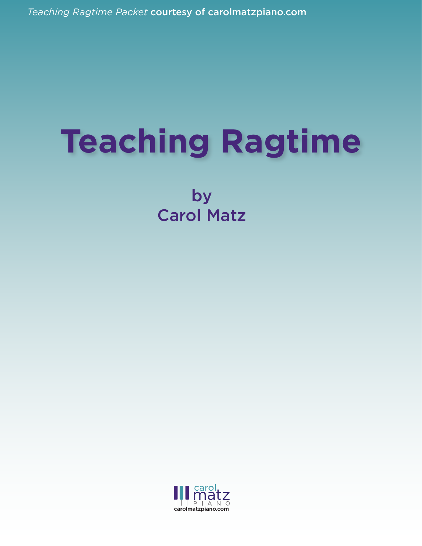*Teaching Ragtime Packet* courtesy of carolmatzpiano.com *Teaching Ragtime Packet* courtesy of carolmatzpiano.com

# **Teaching Ragtime**

by Carol Matz

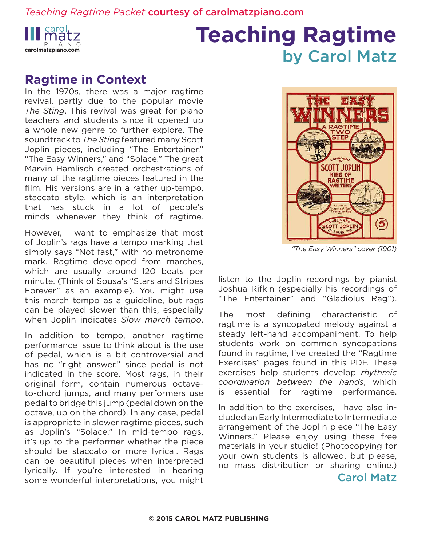

### **Teaching Ragtime** by Carol Matz

#### **Ragtime in Context**

In the 1970s, there was a major ragtime revival, partly due to the popular movie *The Sting*. This revival was great for piano teachers and students since it opened up a whole new genre to further explore. The soundtrack to *The Sting* featured many Scott Joplin pieces, including "The Entertainer," "The Easy Winners," and "Solace." The great Marvin Hamlisch created orchestrations of many of the ragtime pieces featured in the film. His versions are in a rather up-tempo, staccato style, which is an interpretation that has stuck in a lot of people's minds whenever they think of ragtime.

However, I want to emphasize that most of Joplin's rags have a tempo marking that simply says "Not fast," with no metronome mark. Ragtime developed from marches, which are usually around 120 beats per minute. (Think of Sousa's "Stars and Stripes Forever" as an example). You might use this march tempo as a guideline, but rags can be played slower than this, especially when Joplin indicates *Slow march tempo*.

In addition to tempo, another ragtime performance issue to think about is the use of pedal, which is a bit controversial and has no "right answer," since pedal is not indicated in the score. Most rags, in their original form, contain numerous octaveto-chord jumps, and many performers use pedal to bridge this jump (pedal down on the octave, up on the chord). In any case, pedal is appropriate in slower ragtime pieces, such as Joplin's "Solace." In mid-tempo rags, it's up to the performer whether the piece should be staccato or more lyrical. Rags can be beautiful pieces when interpreted lyrically. If you're interested in hearing some wonderful interpretations, you might



*"The Easy Winners" cover (1901)*

listen to the Joplin recordings by pianist Joshua Rifkin (especially his recordings of "The Entertainer" and "Gladiolus Rag").

The most defining characteristic of ragtime is a syncopated melody against a steady left-hand accompaniment. To help students work on common syncopations found in ragtime, I've created the "Ragtime Exercises" pages found in this PDF. These exercises help students develop *rhythmic coordination between the hands*, which is essential for ragtime performance.

In addition to the exercises, I have also included an Early Intermediate to Intermediate arrangement of the Joplin piece "The Easy Winners." Please enjoy using these free materials in your studio! (Photocopying for your own students is allowed, but please, no mass distribution or sharing online.)

#### Carol Matz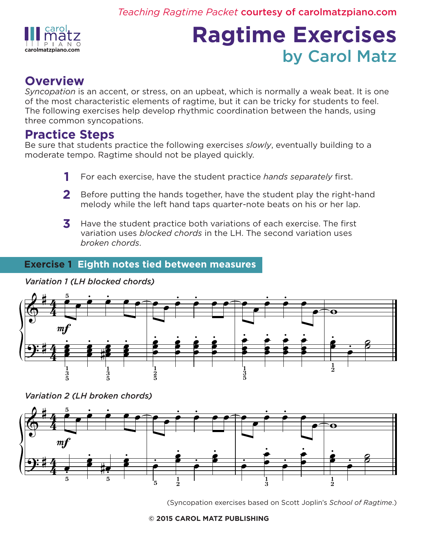

## **Ragtime Exercises** by Carol Matz

#### **Overview**

*Syncopation* is an accent, or stress, on an upbeat, which is normally a weak beat. It is one of the most characteristic elements of ragtime, but it can be tricky for students to feel. The following exercises help develop rhythmic coordination between the hands, using three common syncopations.

#### **Practice Steps**

Be sure that students practice the following exercises *slowly*, eventually building to a moderate tempo. Ragtime should not be played quickly.

- For each exercise, have the student practice *hands separately* first. **1**
- Before putting the hands together, have the student play the right-hand melody while the left hand taps quarter-note beats on his or her lap. **2**
- Have the student practice both variations of each exercise. The first variation uses *blocked chords* in the LH. The second variation uses *broken chords*. **3**

#### **Exercise 1 Eighth notes tied between measures**



*Variation 1 (LH blocked chords)*

*Variation 2 (LH broken chords)*



(Syncopation exercises based on Scott Joplin's *School of Ragtime*.)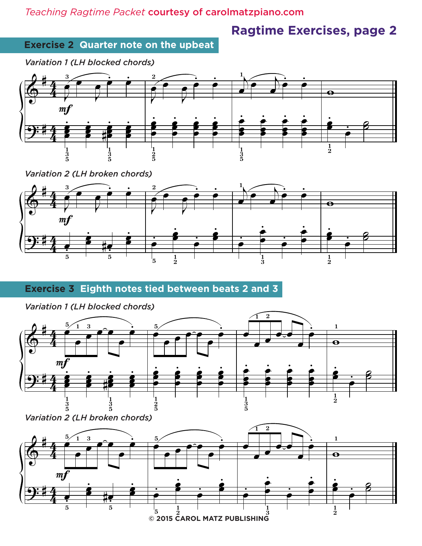### **Ragtime Exercises, page 2**

#### **Exercise 2 Quarter note on the upbeat**

*Variation 1 (LH blocked chords)*



*Variation 2 (LH broken chords)*



#### **Exercise 3 Eighth notes tied between beats 2 and 3**



*Variation 2 (LH broken chords)*



*Variation 1 (LH blocked chords)*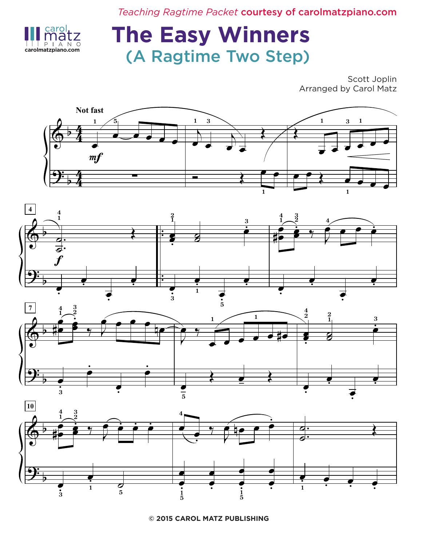

### **The Easy Winners** carolmatzpiano.com **(A Ragtime Two Step)**

Scott Joplin Arranged by Carol Matz







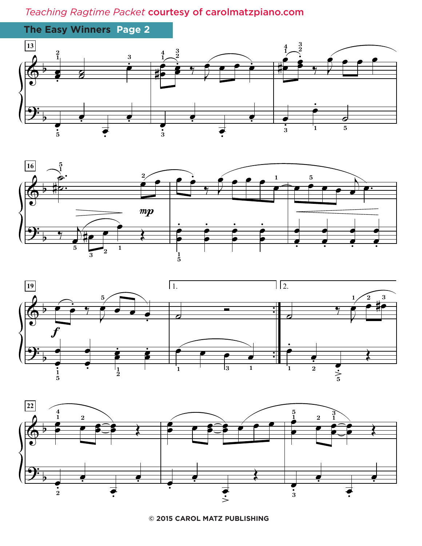![](_page_5_Figure_1.jpeg)

![](_page_5_Figure_2.jpeg)

![](_page_5_Figure_3.jpeg)

![](_page_5_Figure_4.jpeg)